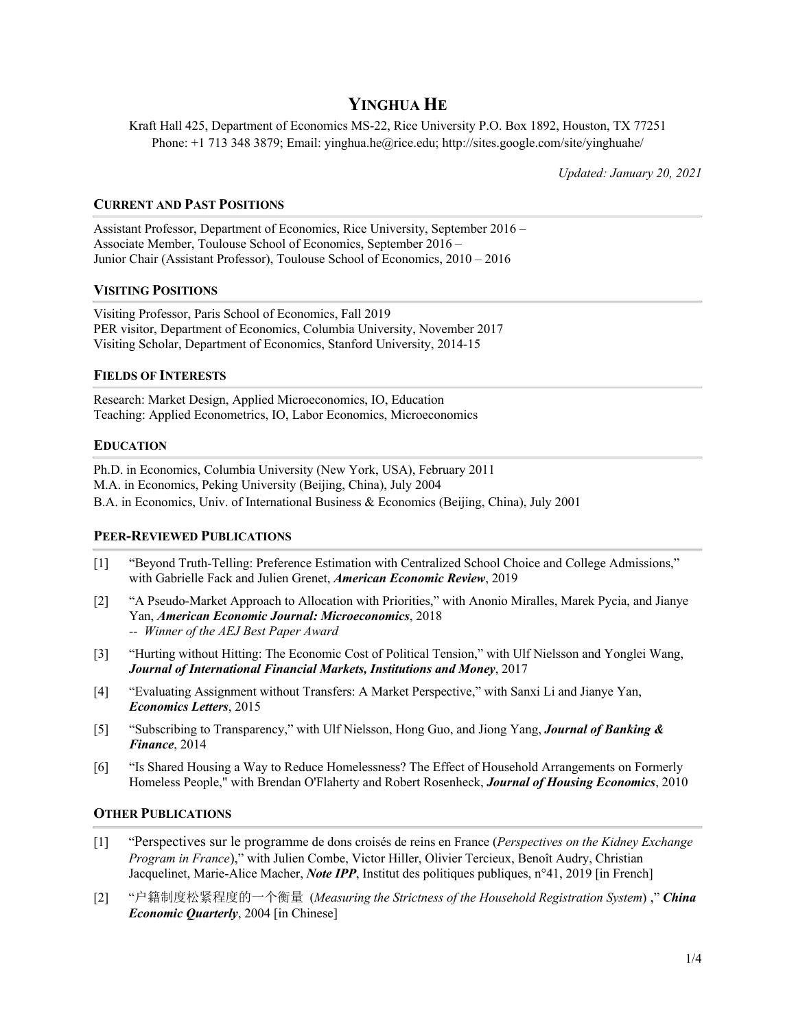# **YINGHUA HE**

Kraft Hall 425, Department of Economics MS-22, Rice University P.O. Box 1892, Houston, TX 77251 Phone: +1 713 348 3879; Email: yinghua.he@rice.edu; http://sites.google.com/site/yinghuahe/

*Updated: January 20, 2021*

# **CURRENT AND PAST POSITIONS**

Assistant Professor, Department of Economics, Rice University, September 2016 – Associate Member, Toulouse School of Economics, September 2016 – Junior Chair (Assistant Professor), Toulouse School of Economics, 2010 – 2016

## **VISITING POSITIONS**

Visiting Professor, Paris School of Economics, Fall 2019 PER visitor, Department of Economics, Columbia University, November 2017 Visiting Scholar, Department of Economics, Stanford University, 2014-15

# **FIELDS OF INTERESTS**

Research: Market Design, Applied Microeconomics, IO, Education Teaching: Applied Econometrics, IO, Labor Economics, Microeconomics

## **EDUCATION**

Ph.D. in Economics, Columbia University (New York, USA), February 2011 M.A. in Economics, Peking University (Beijing, China), July 2004 B.A. in Economics, Univ. of International Business & Economics (Beijing, China), July 2001

## **PEER-REVIEWED PUBLICATIONS**

- [1] "Beyond Truth-Telling: Preference Estimation with Centralized School Choice and College Admissions," with Gabrielle Fack and Julien Grenet, *American Economic Review*, 2019
- [2] "A Pseudo-Market Approach to Allocation with Priorities," with Anonio Miralles, Marek Pycia, and Jianye Yan, *American Economic Journal: Microeconomics*, 2018 *-- Winner of the AEJ Best Paper Award*
- [3] "Hurting without Hitting: The Economic Cost of Political Tension," with Ulf Nielsson and Yonglei Wang, *Journal of International Financial Markets, Institutions and Money*, 2017
- [4] "Evaluating Assignment without Transfers: A Market Perspective," with Sanxi Li and Jianye Yan, *Economics Letters*, 2015
- [5] "Subscribing to Transparency," with Ulf Nielsson, Hong Guo, and Jiong Yang, *Journal of Banking & Finance*, 2014
- [6] "Is Shared Housing a Way to Reduce Homelessness? The Effect of Household Arrangements on Formerly Homeless People," with Brendan O'Flaherty and Robert Rosenheck, *Journal of Housing Economics*, 2010

## **OTHER PUBLICATIONS**

- [1] "Perspectives sur le programme de dons croisés de reins en France (*Perspectives on the Kidney Exchange Program in France*)," with Julien Combe, Victor Hiller, Olivier Tercieux, Benoît Audry, Christian Jacquelinet, Marie-Alice Macher, *Note IPP*, Institut des politiques publiques, n°41, 2019 [in French]
- [2] "户籍制度松紧程度的一个衡量 (*Measuring the Strictness of the Household Registration System*) ," *China Economic Quarterly*, 2004 [in Chinese]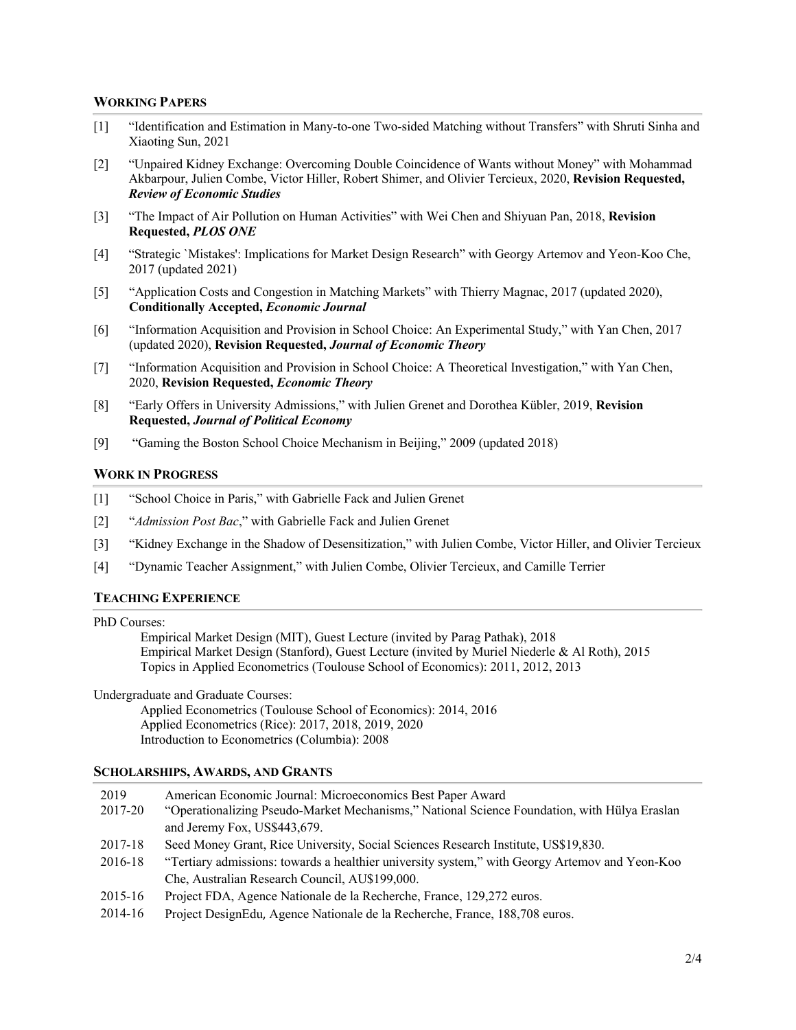#### **WORKING PAPERS**

- [1] "Identification and Estimation in Many-to-one Two-sided Matching without Transfers" with Shruti Sinha and Xiaoting Sun, 2021
- [2] "Unpaired Kidney Exchange: Overcoming Double Coincidence of Wants without Money" with Mohammad Akbarpour, Julien Combe, Victor Hiller, Robert Shimer, and Olivier Tercieux, 2020, **Revision Requested,** *Review of Economic Studies*
- [3] "The Impact of Air Pollution on Human Activities" with Wei Chen and Shiyuan Pan, 2018, **Revision Requested,** *PLOS ONE*
- [4] "Strategic `Mistakes': Implications for Market Design Research" with Georgy Artemov and Yeon-Koo Che, 2017 (updated 2021)
- [5] "Application Costs and Congestion in Matching Markets" with Thierry Magnac, 2017 (updated 2020), **Conditionally Accepted,** *Economic Journal*
- [6] "Information Acquisition and Provision in School Choice: An Experimental Study," with Yan Chen, 2017 (updated 2020), **Revision Requested,** *Journal of Economic Theory*
- [7] "Information Acquisition and Provision in School Choice: A Theoretical Investigation," with Yan Chen, 2020, **Revision Requested,** *Economic Theory*
- [8] "Early Offers in University Admissions," with Julien Grenet and Dorothea Kübler, 2019, **Revision Requested,** *Journal of Political Economy*
- [9] "Gaming the Boston School Choice Mechanism in Beijing," 2009 (updated 2018)

#### **WORK IN PROGRESS**

- [1] "School Choice in Paris," with Gabrielle Fack and Julien Grenet
- [2] "*Admission Post Bac*," with Gabrielle Fack and Julien Grenet
- [3] "Kidney Exchange in the Shadow of Desensitization," with Julien Combe, Victor Hiller, and Olivier Tercieux
- [4] "Dynamic Teacher Assignment," with Julien Combe, Olivier Tercieux, and Camille Terrier

#### **TEACHING EXPERIENCE**

#### PhD Courses:

Empirical Market Design (MIT), Guest Lecture (invited by Parag Pathak), 2018 Empirical Market Design (Stanford), Guest Lecture (invited by Muriel Niederle & Al Roth), 2015 Topics in Applied Econometrics (Toulouse School of Economics): 2011, 2012, 2013

## Undergraduate and Graduate Courses:

Applied Econometrics (Toulouse School of Economics): 2014, 2016 Applied Econometrics (Rice): 2017, 2018, 2019, 2020 Introduction to Econometrics (Columbia): 2008

#### **SCHOLARSHIPS, AWARDS, AND GRANTS**

| 2019    | American Economic Journal: Microeconomics Best Paper Award                                     |
|---------|------------------------------------------------------------------------------------------------|
| 2017-20 | "Operationalizing Pseudo-Market Mechanisms," National Science Foundation, with Hülya Eraslan   |
|         | and Jeremy Fox, US\$443,679.                                                                   |
| 2017-18 | Seed Money Grant, Rice University, Social Sciences Research Institute, US\$19,830.             |
| 2016-18 | "Tertiary admissions: towards a healthier university system," with Georgy Artemov and Yeon-Koo |
|         | Che, Australian Research Council, AU\$199,000.                                                 |
| 2015-16 | Project FDA, Agence Nationale de la Recherche, France, 129,272 euros.                          |
| 2014-16 | Project DesignEdu, Agence Nationale de la Recherche, France, 188,708 euros.                    |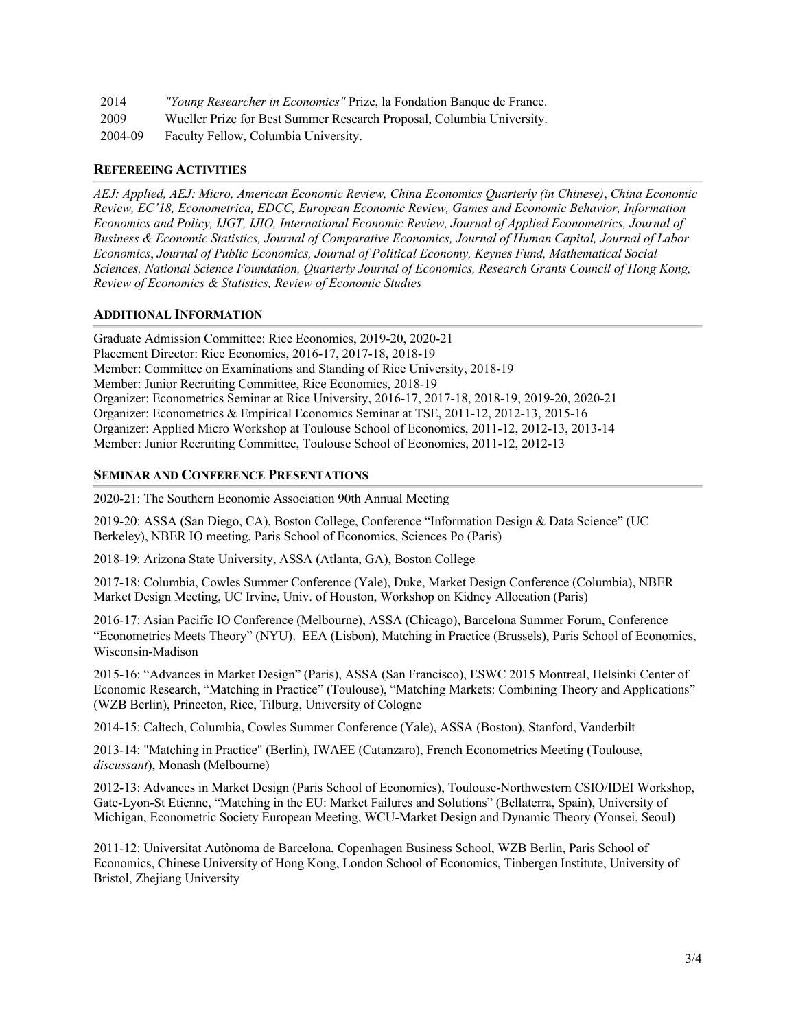| 2014    | "Young Researcher in Economics" Prize, la Fondation Banque de France. |
|---------|-----------------------------------------------------------------------|
| 2009    | Wueller Prize for Best Summer Research Proposal, Columbia University. |
| 2004-09 | Faculty Fellow, Columbia University.                                  |

# **REFEREEING ACTIVITIES**

*AEJ: Applied, AEJ: Micro, American Economic Review, China Economics Quarterly (in Chinese)*, *China Economic Review, EC'18, Econometrica, EDCC, European Economic Review, Games and Economic Behavior, Information Economics and Policy, IJGT, IJIO, International Economic Review, Journal of Applied Econometrics, Journal of Business & Economic Statistics, Journal of Comparative Economics, Journal of Human Capital, Journal of Labor Economics*, *Journal of Public Economics, Journal of Political Economy, Keynes Fund, Mathematical Social Sciences, National Science Foundation, Quarterly Journal of Economics, Research Grants Council of Hong Kong, Review of Economics & Statistics, Review of Economic Studies*

## **ADDITIONAL INFORMATION**

Graduate Admission Committee: Rice Economics, 2019-20, 2020-21 Placement Director: Rice Economics, 2016-17, 2017-18, 2018-19 Member: Committee on Examinations and Standing of Rice University, 2018-19 Member: Junior Recruiting Committee, Rice Economics, 2018-19 Organizer: Econometrics Seminar at Rice University, 2016-17, 2017-18, 2018-19, 2019-20, 2020-21 Organizer: Econometrics & Empirical Economics Seminar at TSE, 2011-12, 2012-13, 2015-16 Organizer: Applied Micro Workshop at Toulouse School of Economics, 2011-12, 2012-13, 2013-14 Member: Junior Recruiting Committee, Toulouse School of Economics, 2011-12, 2012-13

# **SEMINAR AND CONFERENCE PRESENTATIONS**

2020-21: The Southern Economic Association 90th Annual Meeting

2019-20: ASSA (San Diego, CA), Boston College, Conference "Information Design & Data Science" (UC Berkeley), NBER IO meeting, Paris School of Economics, Sciences Po (Paris)

2018-19: Arizona State University, ASSA (Atlanta, GA), Boston College

2017-18: Columbia, Cowles Summer Conference (Yale), Duke, Market Design Conference (Columbia), NBER Market Design Meeting, UC Irvine, Univ. of Houston, Workshop on Kidney Allocation (Paris)

2016-17: Asian Pacific IO Conference (Melbourne), ASSA (Chicago), Barcelona Summer Forum, Conference "Econometrics Meets Theory" (NYU), EEA (Lisbon), Matching in Practice (Brussels), Paris School of Economics, Wisconsin-Madison

2015-16: "Advances in Market Design" (Paris), ASSA (San Francisco), ESWC 2015 Montreal, Helsinki Center of Economic Research, "Matching in Practice" (Toulouse), "Matching Markets: Combining Theory and Applications" (WZB Berlin), Princeton, Rice, Tilburg, University of Cologne

2014-15: Caltech, Columbia, Cowles Summer Conference (Yale), ASSA (Boston), Stanford, Vanderbilt

2013-14: "Matching in Practice" (Berlin), IWAEE (Catanzaro), French Econometrics Meeting (Toulouse, *discussant*), Monash (Melbourne)

2012-13: Advances in Market Design (Paris School of Economics), Toulouse-Northwestern CSIO/IDEI Workshop, Gate-Lyon-St Etienne, "Matching in the EU: Market Failures and Solutions" (Bellaterra, Spain), University of Michigan, Econometric Society European Meeting, WCU-Market Design and Dynamic Theory (Yonsei, Seoul)

2011-12: Universitat Autònoma de Barcelona, Copenhagen Business School, WZB Berlin, Paris School of Economics, Chinese University of Hong Kong, London School of Economics, Tinbergen Institute, University of Bristol, Zhejiang University